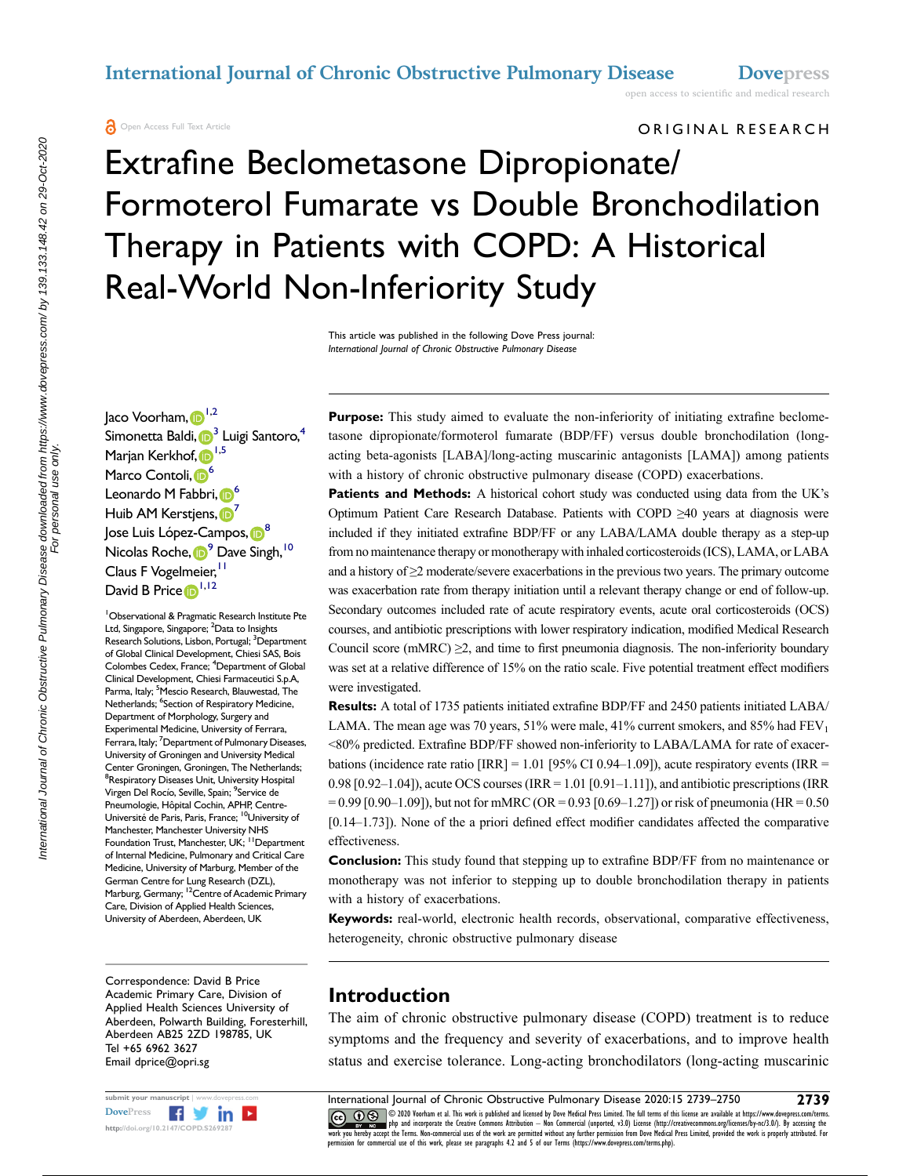**A** Open Access Full Text Article

### ORIGINAL RESEARCH

# Extrafine Beclometasone Dipropionate/ Formoterol Fumarate vs Double Bronchodilation Therapy in Patients with COPD: A Historical Real-World Non-Inferiority Study

This article was published in the following Dove Press journal: *International Journal of Chronic Obstructive Pulmonary Disease*

Jaco Voorham, D<sup>[1](#page-0-0),[2](#page-0-1)</sup> Simonetta Baldi[,](http://orcid.org/0000-0002-1984-6730) <mark>D<sup>[3](#page-0-2)</sup> Luigi Santoro,<sup>4</sup></mark> Marjan Kerkhof, <sup>[1](#page-0-0),[5](#page-0-4)</sup> Marco Contoli[,](http://orcid.org/0000-0002-2731-5809) <sup>6</sup> Leonardo M Fabbri, <sup>[6](#page-0-5)</sup> Huib AM Kerstiens[,](http://orcid.org/0000-0001-7705-7927)  $\blacksquare$ <sup>7</sup> Jose Luis López-Campos[,](http://orcid.org/0000-0003-1703-1367) <sup>8</sup> Nicolas Roche, <sup>[9](#page-0-8)</sup> Dave Singh,<sup>10</sup> Claus F Vogelmeier, <sup>[11](#page-0-10)</sup> David B Price <sup>[1](#page-0-0),[12](#page-0-11)</sup>

<span id="page-0-8"></span><span id="page-0-7"></span><span id="page-0-6"></span><span id="page-0-5"></span><span id="page-0-4"></span><span id="page-0-3"></span><span id="page-0-2"></span><span id="page-0-1"></span><span id="page-0-0"></span>1 Observational & Pragmatic Research Institute Pte Ltd, Singapore, Singapore; <sup>2</sup>Data to Insights Research Solutions, Lisbon, Portugal; <sup>3</sup>Department of Global Clinical Development, Chiesi SAS, Bois Colombes Cedex, France; <sup>4</sup>Department of Global Clinical Development, Chiesi Farmaceutici S.p.A, Parma, Italy; <sup>5</sup>Mescio Research, Blauwestad, The Netherlands; <sup>6</sup>Section of Respiratory Medicine, Department of Morphology, Surgery and Experimental Medicine, University of Ferrara, Ferrara, Italy; <sup>7</sup> Department of Pulmonary Diseases, University of Groningen and University Medical Center Groningen, Groningen, The Netherlands; 8 <sup>8</sup>Respiratory Diseases Unit, University Hospital Virgen Del Rocío, Seville, Spain; <sup>9</sup>Service de Pneumologie, Hôpital Cochin, APHP, Centre-Université de Paris, Paris, France; <sup>10</sup>University of Manchester, Manchester University NHS Foundation Trust, Manchester, UK; <sup>11</sup>Department of Internal Medicine, Pulmonary and Critical Care Medicine, University of Marburg, Member of the German Centre for Lung Research (DZL),<br>Marburg, Germany; <sup>12</sup>Centre of Academic Primary Care, Division of Applied Health Sciences, University of Aberdeen, Aberdeen, UK

<span id="page-0-11"></span><span id="page-0-10"></span><span id="page-0-9"></span>Correspondence: David B Price Academic Primary Care, Division of Applied Health Sciences University of Aberdeen, Polwarth Building, Foresterhill, Aberdeen AB25 2ZD 198785, UK Tel +65 6962 3627 Email [dprice@opri.sg](mailto:dprice@opri.sg)



**Purpose:** This study aimed to evaluate the non-inferiority of initiating extrafine beclometasone dipropionate/formoterol fumarate (BDP/FF) versus double bronchodilation (longacting beta-agonists [LABA]/long-acting muscarinic antagonists [LAMA]) among patients with a history of chronic obstructive pulmonary disease (COPD) exacerbations.

**Patients and Methods:** A historical cohort study was conducted using data from the UK's Optimum Patient Care Research Database. Patients with COPD ≥40 years at diagnosis were included if they initiated extrafine BDP/FF or any LABA/LAMA double therapy as a step-up from no maintenance therapy or monotherapy with inhaled corticosteroids (ICS), LAMA, or LABA and a history of  $\geq 2$  moderate/severe exacerbations in the previous two years. The primary outcome was exacerbation rate from therapy initiation until a relevant therapy change or end of follow-up. Secondary outcomes included rate of acute respiratory events, acute oral corticosteroids (OCS) courses, and antibiotic prescriptions with lower respiratory indication, modified Medical Research Council score (mMRC)  $\geq$ 2, and time to first pneumonia diagnosis. The non-inferiority boundary was set at a relative difference of 15% on the ratio scale. Five potential treatment effect modifiers were investigated.

**Results:** A total of 1735 patients initiated extrafine BDP/FF and 2450 patients initiated LABA/ LAMA. The mean age was 70 years, 51% were male, 41% current smokers, and 85% had  $FEV<sub>1</sub>$ <80% predicted. Extrafine BDP/FF showed non-inferiority to LABA/LAMA for rate of exacerbations (incidence rate ratio  $\text{[IRR]} = 1.01 \text{ [95\% CI } 0.94{\text{--}}1.09\text{]},$  acute respiratory events (IRR = 0.98  $[0.92-1.04]$ ), acute OCS courses (IRR = 1.01  $[0.91-1.11]$ ), and antibiotic prescriptions (IRR  $= 0.99$  [0.90–1.09]), but not for mMRC (OR  $= 0.93$  [0.69–1.27]) or risk of pneumonia (HR  $= 0.50$ ) [0.14–1.73]). None of the a priori defined effect modifier candidates affected the comparative effectiveness.

**Conclusion:** This study found that stepping up to extrafine BDP/FF from no maintenance or monotherapy was not inferior to stepping up to double bronchodilation therapy in patients with a history of exacerbations.

**Keywords:** real-world, electronic health records, observational, comparative effectiveness, heterogeneity, chronic obstructive pulmonary disease

# **Introduction**

The aim of chronic obstructive pulmonary disease (COPD) treatment is to reduce symptoms and the frequency and severity of exacerbations, and to improve health status and exercise tolerance. Long-acting bronchodilators (long-acting muscarinic

submit your manuscript | www.dovepress.com **International Journal of Chronic Obstructive Pulmonary Disease 2020:15 2739–2750 <b>2739**<br>DovePress **Figure 2020:** In the C<sub>G</sub> (C<sub>G</sub> (C<sub>G</sub> ) © 2020 Voorham et al. This work is publ **CO D**  $\bigcirc$  2020 Voorham et al. This work is published and licensed by Dove Medical Press Limited. The full terms of this license are available at https://www.dovepress.com/terms. work you and incorporate the Creative Commons Attribution — Non Commercial (unported, v3.0) License (http://creativecommons.org/licenses/by-nc/3.0/). By accessing the<br>work you hereby accept the Terms. Non-commercial uses o ission for commercial use of this work, please see paragraphs 4.2 and 5 of our Terms (https://www.dovepress.com/terms.php).

open access to scientific and medical research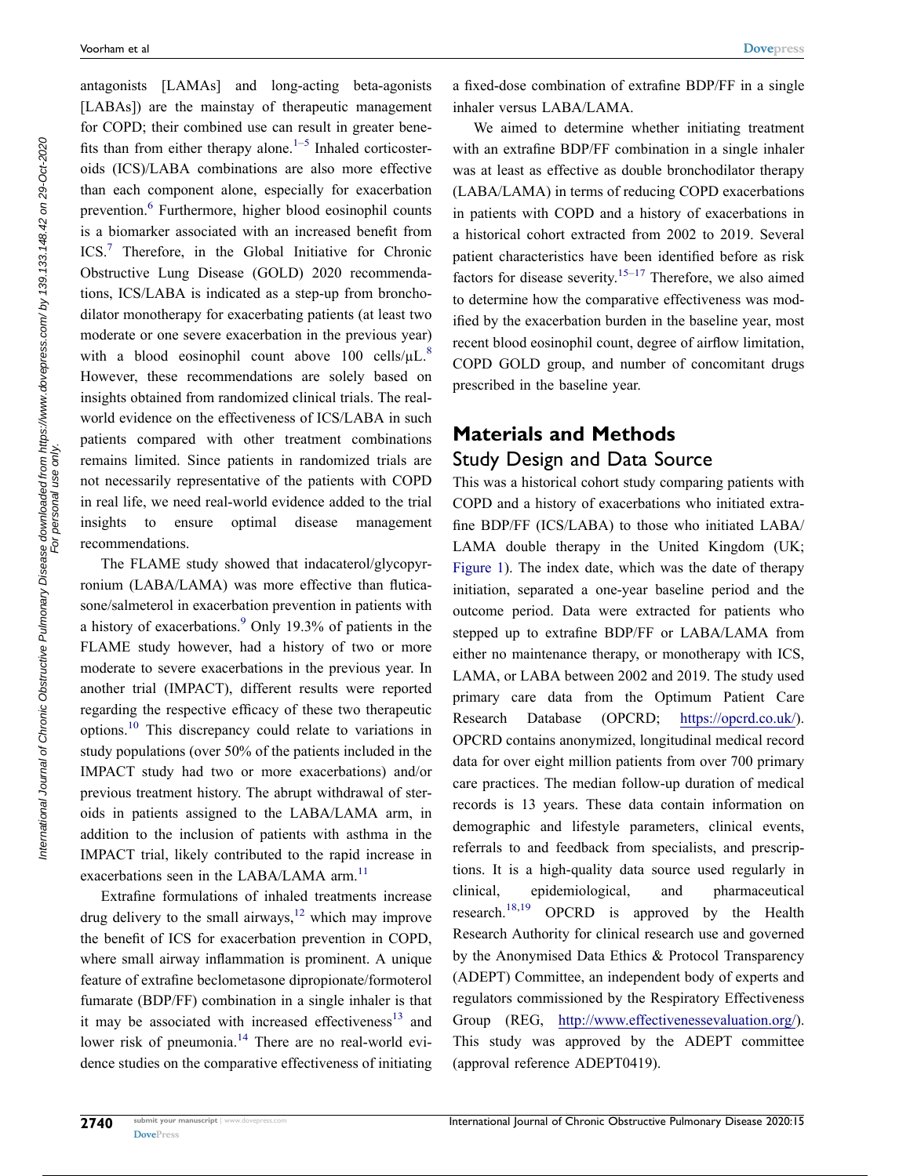<span id="page-1-2"></span><span id="page-1-1"></span><span id="page-1-0"></span>antagonists [LAMAs] and long-acting beta-agonists [LABAs]) are the mainstay of therapeutic management for COPD; their combined use can result in greater bene-fits than from either therapy alone.<sup>1–[5](#page-10-1)</sup> Inhaled corticosteroids (ICS)/LABA combinations are also more effective than each component alone, especially for exacerbation prevention[.6](#page-10-2) Furthermore, higher blood eosinophil counts is a biomarker associated with an increased benefit from ICS[.7](#page-10-3) Therefore, in the Global Initiative for Chronic Obstructive Lung Disease (GOLD) 2020 recommendations, ICS/LABA is indicated as a step-up from bronchodilator monotherapy for exacerbating patients (at least two moderate or one severe exacerbation in the previous year) with a blood eosinophil count above 100 cells/ $\mu$ L.<sup>8</sup> However, these recommendations are solely based on insights obtained from randomized clinical trials. The realworld evidence on the effectiveness of ICS/LABA in such patients compared with other treatment combinations remains limited. Since patients in randomized trials are not necessarily representative of the patients with COPD in real life, we need real-world evidence added to the trial insights to ensure optimal disease management recommendations.

<span id="page-1-5"></span><span id="page-1-4"></span><span id="page-1-3"></span>The FLAME study showed that indacaterol/glycopyrronium (LABA/LAMA) was more effective than fluticasone/salmeterol in exacerbation prevention in patients with a history of exacerbations.<sup>9</sup> Only 19.3% of patients in the FLAME study however, had a history of two or more moderate to severe exacerbations in the previous year. In another trial (IMPACT), different results were reported regarding the respective efficacy of these two therapeutic options.[10](#page-10-6) This discrepancy could relate to variations in study populations (over 50% of the patients included in the IMPACT study had two or more exacerbations) and/or previous treatment history. The abrupt withdrawal of steroids in patients assigned to the LABA/LAMA arm, in addition to the inclusion of patients with asthma in the IMPACT trial, likely contributed to the rapid increase in exacerbations seen in the LABA/LAMA arm.<sup>[11](#page-10-7)</sup>

<span id="page-1-11"></span><span id="page-1-9"></span><span id="page-1-8"></span><span id="page-1-7"></span><span id="page-1-6"></span>Extrafine formulations of inhaled treatments increase drug delivery to the small airways,  $12$  which may improve the benefit of ICS for exacerbation prevention in COPD, where small airway inflammation is prominent. A unique feature of extrafine beclometasone dipropionate/formoterol fumarate (BDP/FF) combination in a single inhaler is that it may be associated with increased effectiveness<sup>[13](#page-10-9)</sup> and lower risk of pneumonia.<sup>[14](#page-11-0)</sup> There are no real-world evidence studies on the comparative effectiveness of initiating a fixed-dose combination of extrafine BDP/FF in a single inhaler versus LABA/LAMA.

<span id="page-1-10"></span>We aimed to determine whether initiating treatment with an extrafine BDP/FF combination in a single inhaler was at least as effective as double bronchodilator therapy (LABA/LAMA) in terms of reducing COPD exacerbations in patients with COPD and a history of exacerbations in a historical cohort extracted from 2002 to 2019. Several patient characteristics have been identified before as risk factors for disease severity.<sup>[15](#page-11-1)-[17](#page-11-2)</sup> Therefore, we also aimed to determine how the comparative effectiveness was modified by the exacerbation burden in the baseline year, most recent blood eosinophil count, degree of airflow limitation, COPD GOLD group, and number of concomitant drugs prescribed in the baseline year.

# **Materials and Methods** Study Design and Data Source

This was a historical cohort study comparing patients with COPD and a history of exacerbations who initiated extrafine BDP/FF (ICS/LABA) to those who initiated LABA/ LAMA double therapy in the United Kingdom (UK; [Figure 1](#page-2-0)). The index date, which was the date of therapy initiation, separated a one-year baseline period and the outcome period. Data were extracted for patients who stepped up to extrafine BDP/FF or LABA/LAMA from either no maintenance therapy, or monotherapy with ICS, LAMA, or LABA between 2002 and 2019. The study used primary care data from the Optimum Patient Care Research Database (OPCRD; [https://opcrd.co.uk/\)](https://opcrd.co.uk/). OPCRD contains anonymized, longitudinal medical record data for over eight million patients from over 700 primary care practices. The median follow-up duration of medical records is 13 years. These data contain information on demographic and lifestyle parameters, clinical events, referrals to and feedback from specialists, and prescriptions. It is a high-quality data source used regularly in clinical, epidemiological, and pharmaceutical research[.18,](#page-11-3)[19](#page-11-4) OPCRD is approved by the Health Research Authority for clinical research use and governed by the Anonymised Data Ethics & Protocol Transparency (ADEPT) Committee, an independent body of experts and regulators commissioned by the Respiratory Effectiveness Group (REG, [http://www.effectivenessevaluation.org/\)](http://www.effectivenessevaluation.org/). This study was approved by the ADEPT committee (approval reference ADEPT0419).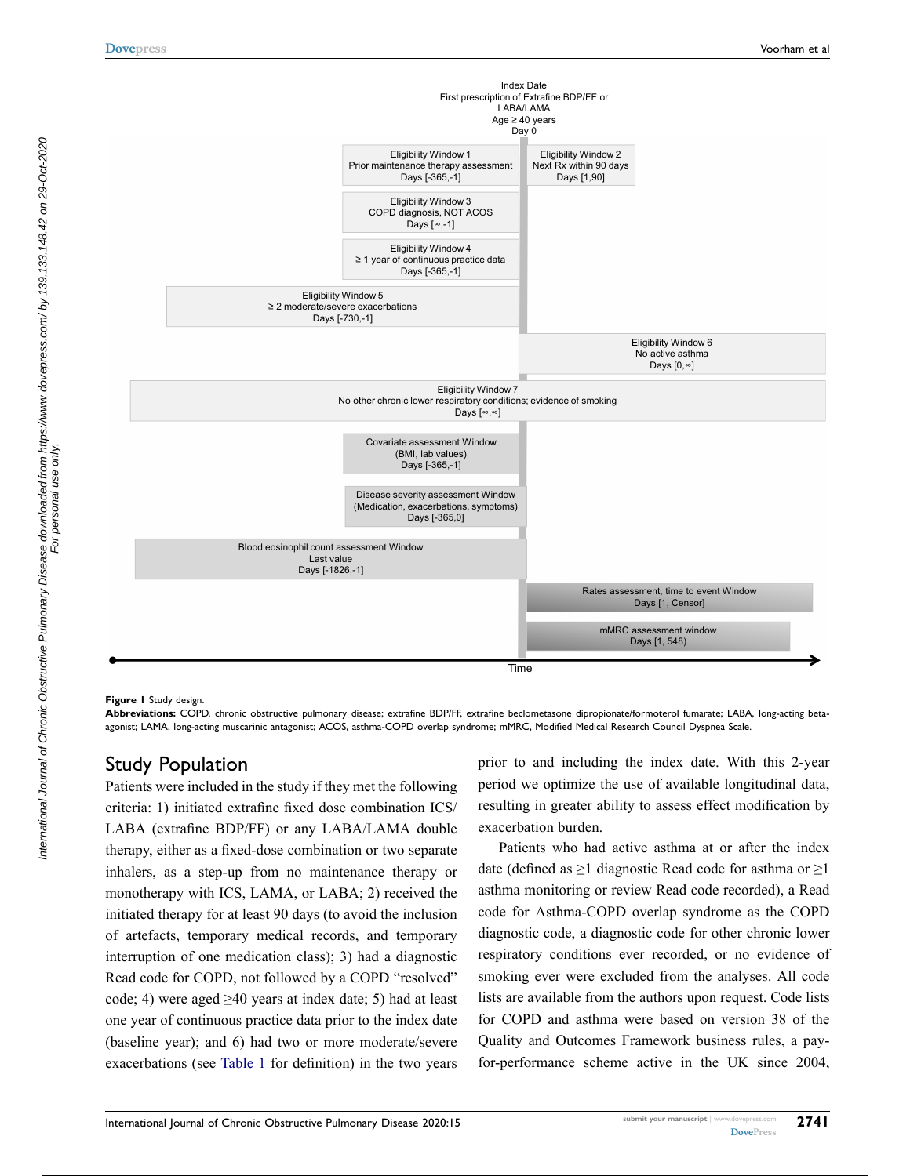International Journal of Chronic Obstructive Pulmonary Disease downloaded from https://www.dovepress.com/ by 139.133.148.42 on 29-Oct-2020<br>For personal use only use only use only. International Journal of Chronic Obstructive Pulmonary Disease downloaded from https://www.dovepress.com/ by 139.133.148.42 on 29-Oct-2020 For personal use only.

<span id="page-2-0"></span>

**Figure 1** Study design.

**Abbreviations:** COPD, chronic obstructive pulmonary disease; extrafine BDP/FF, extrafine beclometasone dipropionate/formoterol fumarate; LABA, long-acting betaagonist; LAMA, long-acting muscarinic antagonist; ACOS, asthma-COPD overlap syndrome; mMRC, Modified Medical Research Council Dyspnea Scale.

### Study Population

Patients were included in the study if they met the following criteria: 1) initiated extrafine fixed dose combination ICS/ LABA (extrafine BDP/FF) or any LABA/LAMA double therapy, either as a fixed-dose combination or two separate inhalers, as a step-up from no maintenance therapy or monotherapy with ICS, LAMA, or LABA; 2) received the initiated therapy for at least 90 days (to avoid the inclusion of artefacts, temporary medical records, and temporary interruption of one medication class); 3) had a diagnostic Read code for COPD, not followed by a COPD "resolved" code; 4) were aged  $\geq 40$  years at index date; 5) had at least one year of continuous practice data prior to the index date (baseline year); and 6) had two or more moderate/severe exacerbations (see [Table 1](#page-3-0) for definition) in the two years prior to and including the index date. With this 2-year period we optimize the use of available longitudinal data, resulting in greater ability to assess effect modification by exacerbation burden.

Patients who had active asthma at or after the index date (defined as  $\geq 1$  diagnostic Read code for asthma or  $\geq 1$ asthma monitoring or review Read code recorded), a Read code for Asthma-COPD overlap syndrome as the COPD diagnostic code, a diagnostic code for other chronic lower respiratory conditions ever recorded, or no evidence of smoking ever were excluded from the analyses. All code lists are available from the authors upon request. Code lists for COPD and asthma were based on version 38 of the Quality and Outcomes Framework business rules, a payfor-performance scheme active in the UK since 2004,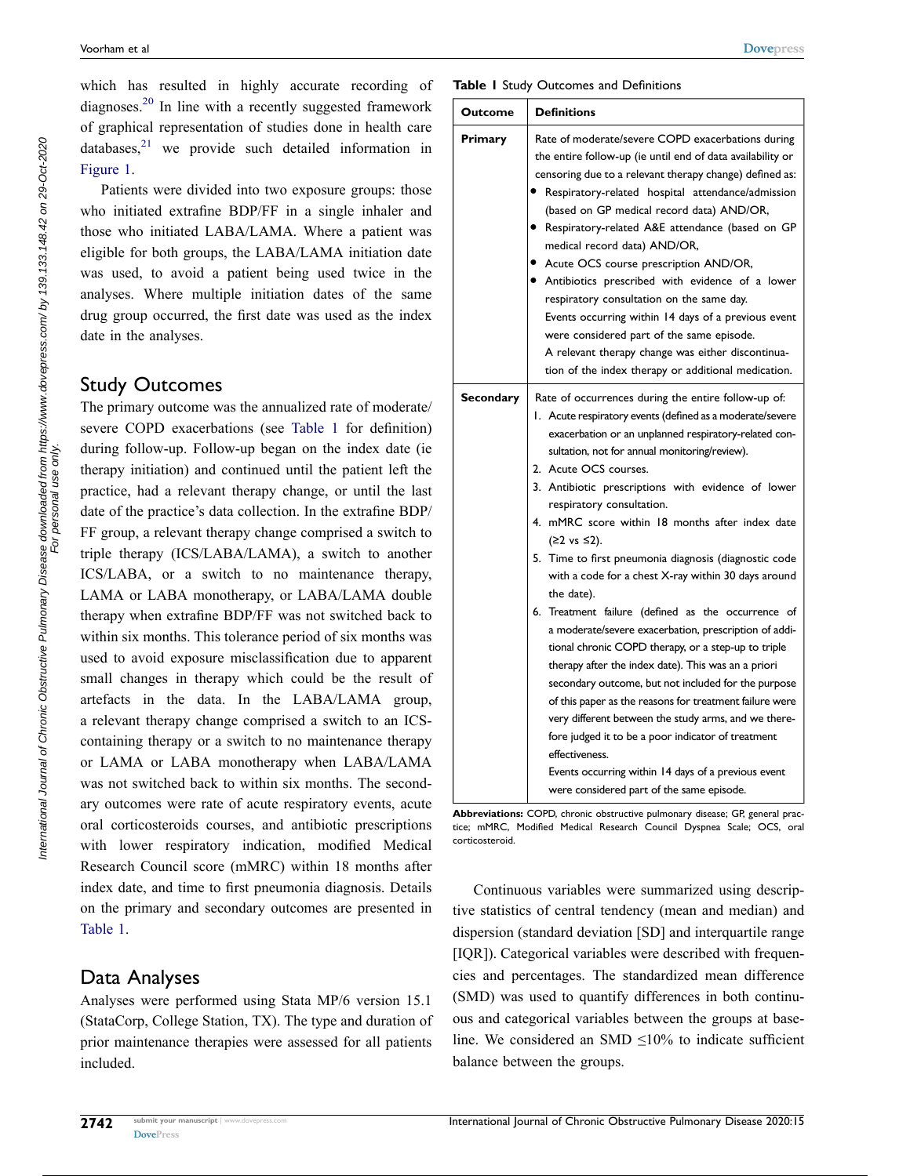<span id="page-3-1"></span>which has resulted in highly accurate recording of diagnoses.[20](#page-11-5) In line with a recently suggested framework of graphical representation of studies done in health care databases, $21$  we provide such detailed information in [Figure 1](#page-2-0).

<span id="page-3-2"></span>Patients were divided into two exposure groups: those who initiated extrafine BDP/FF in a single inhaler and those who initiated LABA/LAMA. Where a patient was eligible for both groups, the LABA/LAMA initiation date was used, to avoid a patient being used twice in the analyses. Where multiple initiation dates of the same drug group occurred, the first date was used as the index date in the analyses.

### Study Outcomes

The primary outcome was the annualized rate of moderate/ severe COPD exacerbations (see [Table 1](#page-3-0) for definition) during follow-up. Follow-up began on the index date (ie therapy initiation) and continued until the patient left the practice, had a relevant therapy change, or until the last date of the practice's data collection. In the extrafine BDP/ FF group, a relevant therapy change comprised a switch to triple therapy (ICS/LABA/LAMA), a switch to another ICS/LABA, or a switch to no maintenance therapy, LAMA or LABA monotherapy, or LABA/LAMA double therapy when extrafine BDP/FF was not switched back to within six months. This tolerance period of six months was used to avoid exposure misclassification due to apparent small changes in therapy which could be the result of artefacts in the data. In the LABA/LAMA group, a relevant therapy change comprised a switch to an ICScontaining therapy or a switch to no maintenance therapy or LAMA or LABA monotherapy when LABA/LAMA was not switched back to within six months. The secondary outcomes were rate of acute respiratory events, acute oral corticosteroids courses, and antibiotic prescriptions with lower respiratory indication, modified Medical Research Council score (mMRC) within 18 months after index date, and time to first pneumonia diagnosis. Details on the primary and secondary outcomes are presented in [Table 1](#page-3-0).

### Data Analyses

Analyses were performed using Stata MP/6 version 15.1 (StataCorp, College Station, TX). The type and duration of prior maintenance therapies were assessed for all patients included.

<span id="page-3-0"></span>

| Outcome   | <b>Definitions</b>                                                                                                                                                                                                                                                                                                                                                                                                                                                                                                                                                                                                                                                                                                                                                                                                                                                                                                                                                                                                                                                                                                          |
|-----------|-----------------------------------------------------------------------------------------------------------------------------------------------------------------------------------------------------------------------------------------------------------------------------------------------------------------------------------------------------------------------------------------------------------------------------------------------------------------------------------------------------------------------------------------------------------------------------------------------------------------------------------------------------------------------------------------------------------------------------------------------------------------------------------------------------------------------------------------------------------------------------------------------------------------------------------------------------------------------------------------------------------------------------------------------------------------------------------------------------------------------------|
| Primary   | Rate of moderate/severe COPD exacerbations during<br>the entire follow-up (ie until end of data availability or<br>censoring due to a relevant therapy change) defined as:<br>Respiratory-related hospital attendance/admission<br>(based on GP medical record data) AND/OR,<br>Respiratory-related A&E attendance (based on GP<br>medical record data) AND/OR,<br>Acute OCS course prescription AND/OR,<br>Antibiotics prescribed with evidence of a lower<br>respiratory consultation on the same day.<br>Events occurring within 14 days of a previous event<br>were considered part of the same episode.<br>A relevant therapy change was either discontinua-<br>tion of the index therapy or additional medication.                                                                                                                                                                                                                                                                                                                                                                                                    |
| Secondary | Rate of occurrences during the entire follow-up of:<br>1. Acute respiratory events (defined as a moderate/severe<br>exacerbation or an unplanned respiratory-related con-<br>sultation, not for annual monitoring/review).<br>2. Acute OCS courses.<br>3. Antibiotic prescriptions with evidence of lower<br>respiratory consultation.<br>4. mMRC score within 18 months after index date<br>$(≥2$ vs ≤2).<br>5. Time to first pneumonia diagnosis (diagnostic code<br>with a code for a chest X-ray within 30 days around<br>the date).<br>6. Treatment failure (defined as the occurrence of<br>a moderate/severe exacerbation, prescription of addi-<br>tional chronic COPD therapy, or a step-up to triple<br>therapy after the index date). This was an a priori<br>secondary outcome, but not included for the purpose<br>of this paper as the reasons for treatment failure were<br>very different between the study arms, and we there-<br>fore judged it to be a poor indicator of treatment<br>effectiveness.<br>Events occurring within 14 days of a previous event<br>were considered part of the same episode. |

**Abbreviations:** COPD, chronic obstructive pulmonary disease; GP, general practice; mMRC, Modified Medical Research Council Dyspnea Scale; OCS, oral corticosteroid.

Continuous variables were summarized using descriptive statistics of central tendency (mean and median) and dispersion (standard deviation [SD] and interquartile range [IQR]). Categorical variables were described with frequencies and percentages. The standardized mean difference (SMD) was used to quantify differences in both continuous and categorical variables between the groups at baseline. We considered an SMD  $\leq 10\%$  to indicate sufficient balance between the groups.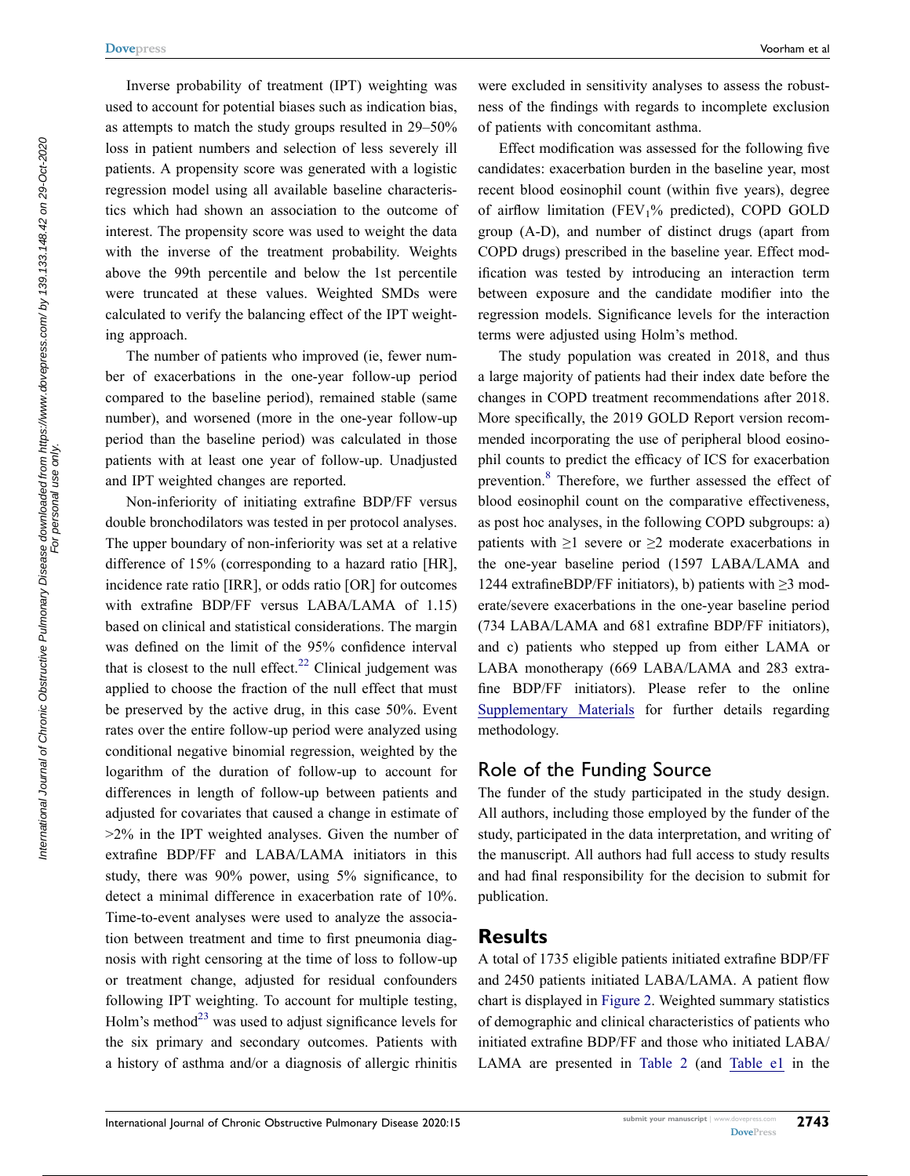International Journal of Chronic Obstructive Pulmonary Disease downloaded from https://www.dovepress.com/ by 139.133.148.42 on 29-Oct-2020<br>For personal use only end was computed by 133.148.2020 International Journal of Chronic Obstructive Pulmonary Disease downloaded from https://www.dovepress.com/ by 139.133.148.42 on 29-Oct-2020 For personal use only.

Inverse probability of treatment (IPT) weighting was used to account for potential biases such as indication bias, as attempts to match the study groups resulted in 29–50% loss in patient numbers and selection of less severely ill patients. A propensity score was generated with a logistic regression model using all available baseline characteristics which had shown an association to the outcome of interest. The propensity score was used to weight the data with the inverse of the treatment probability. Weights above the 99th percentile and below the 1st percentile were truncated at these values. Weighted SMDs were calculated to verify the balancing effect of the IPT weighting approach.

The number of patients who improved (ie, fewer number of exacerbations in the one-year follow-up period compared to the baseline period), remained stable (same number), and worsened (more in the one-year follow-up period than the baseline period) was calculated in those patients with at least one year of follow-up. Unadjusted and IPT weighted changes are reported.

<span id="page-4-0"></span>Non-inferiority of initiating extrafine BDP/FF versus double bronchodilators was tested in per protocol analyses. The upper boundary of non-inferiority was set at a relative difference of 15% (corresponding to a hazard ratio [HR], incidence rate ratio [IRR], or odds ratio [OR] for outcomes with extrafine BDP/FF versus LABA/LAMA of 1.15) based on clinical and statistical considerations. The margin was defined on the limit of the 95% confidence interval that is closest to the null effect. $22$  Clinical judgement was applied to choose the fraction of the null effect that must be preserved by the active drug, in this case 50%. Event rates over the entire follow-up period were analyzed using conditional negative binomial regression, weighted by the logarithm of the duration of follow-up to account for differences in length of follow-up between patients and adjusted for covariates that caused a change in estimate of >2% in the IPT weighted analyses. Given the number of extrafine BDP/FF and LABA/LAMA initiators in this study, there was 90% power, using 5% significance, to detect a minimal difference in exacerbation rate of 10%. Time-to-event analyses were used to analyze the association between treatment and time to first pneumonia diagnosis with right censoring at the time of loss to follow-up or treatment change, adjusted for residual confounders following IPT weighting. To account for multiple testing, Holm's method<sup>23</sup> was used to adjust significance levels for the six primary and secondary outcomes. Patients with a history of asthma and/or a diagnosis of allergic rhinitis

were excluded in sensitivity analyses to assess the robustness of the findings with regards to incomplete exclusion of patients with concomitant asthma.

Effect modification was assessed for the following five candidates: exacerbation burden in the baseline year, most recent blood eosinophil count (within five years), degree of airflow limitation (FEV1% predicted), COPD GOLD group (A-D), and number of distinct drugs (apart from COPD drugs) prescribed in the baseline year. Effect modification was tested by introducing an interaction term between exposure and the candidate modifier into the regression models. Significance levels for the interaction terms were adjusted using Holm's method.

The study population was created in 2018, and thus a large majority of patients had their index date before the changes in COPD treatment recommendations after 2018. More specifically, the 2019 GOLD Report version recommended incorporating the use of peripheral blood eosinophil counts to predict the efficacy of ICS for exacerbation prevention[.8](#page-10-4) Therefore, we further assessed the effect of blood eosinophil count on the comparative effectiveness, as post hoc analyses, in the following COPD subgroups: a) patients with  $\geq 1$  severe or  $\geq 2$  moderate exacerbations in the one-year baseline period (1597 LABA/LAMA and 1244 extrafineBDP/FF initiators), b) patients with  $\geq$ 3 moderate/severe exacerbations in the one-year baseline period (734 LABA/LAMA and 681 extrafine BDP/FF initiators), and c) patients who stepped up from either LAMA or LABA monotherapy (669 LABA/LAMA and 283 extrafine BDP/FF initiators). Please refer to the online [Supplementary Materials](https://www.dovepress.com/get_supplementary_file.php?f=269287.docx) for further details regarding methodology.

### Role of the Funding Source

The funder of the study participated in the study design. All authors, including those employed by the funder of the study, participated in the data interpretation, and writing of the manuscript. All authors had full access to study results and had final responsibility for the decision to submit for publication.

### **Results**

<span id="page-4-1"></span>A total of 1735 eligible patients initiated extrafine BDP/FF and 2450 patients initiated LABA/LAMA. A patient flow chart is displayed in [Figure 2](#page-5-0). Weighted summary statistics of demographic and clinical characteristics of patients who initiated extrafine BDP/FF and those who initiated LABA/ LAMA are presented in [Table 2](#page-6-0) (and [Table e1](https://www.dovepress.com/get_supplementary_file.php?f=269287.docx) in the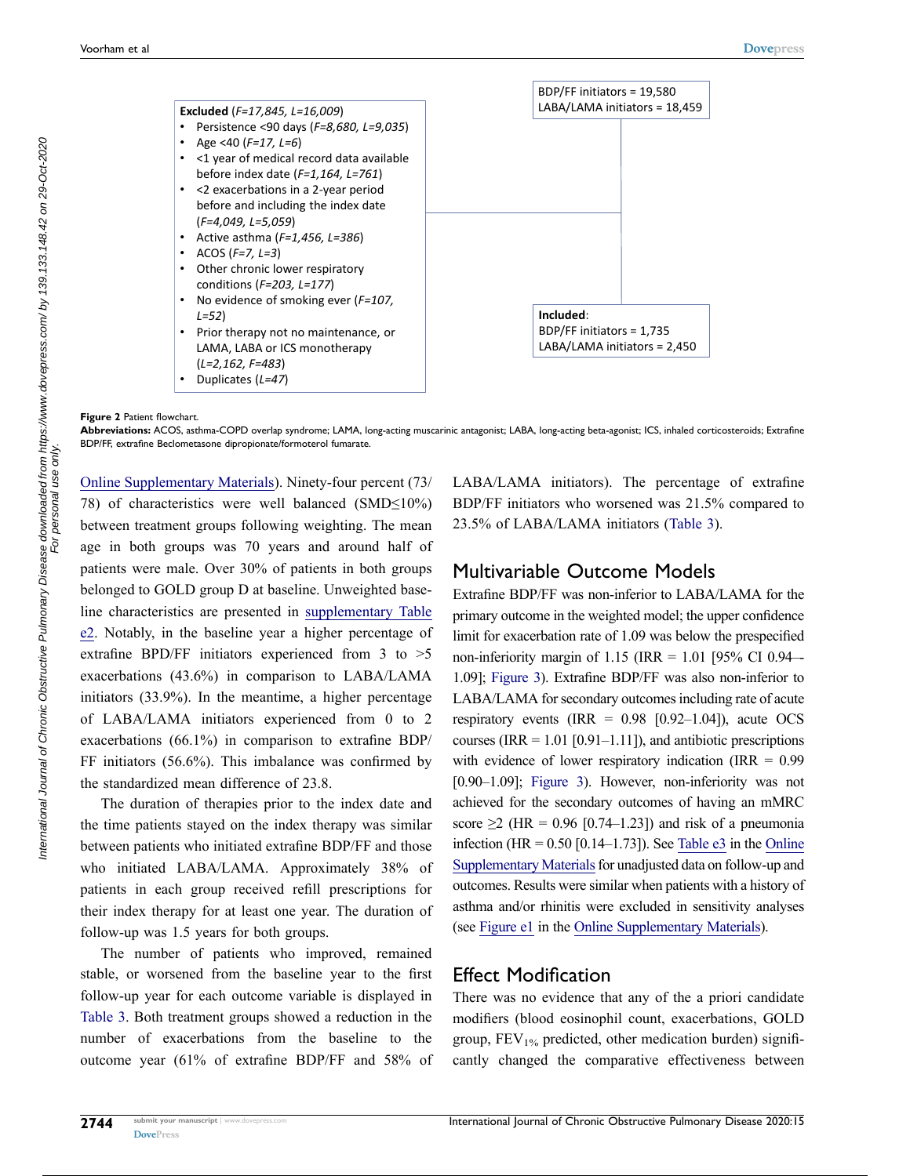

<span id="page-5-0"></span>

**Figure 2** Patient flowchart.

**Abbreviations:** ACOS, asthma-COPD overlap syndrome; LAMA, long-acting muscarinic antagonist; LABA, long-acting beta-agonist; ICS, inhaled corticosteroids; Extrafine BDP/FF, extrafine Beclometasone dipropionate/formoterol fumarate.

[Online Supplementary Materials\)](https://www.dovepress.com/get_supplementary_file.php?f=269287.docx). Ninety-four percent (73/ 78) of characteristics were well balanced (SMD≤10%) between treatment groups following weighting. The mean age in both groups was 70 years and around half of patients were male. Over 30% of patients in both groups belonged to GOLD group D at baseline. Unweighted baseline characteristics are presented in [supplementary Table](https://www.dovepress.com/get_supplementary_file.php?f=269287.docx)  [e2](https://www.dovepress.com/get_supplementary_file.php?f=269287.docx). Notably, in the baseline year a higher percentage of extrafine BPD/FF initiators experienced from 3 to >5 exacerbations (43.6%) in comparison to LABA/LAMA initiators (33.9%). In the meantime, a higher percentage of LABA/LAMA initiators experienced from 0 to 2 exacerbations (66.1%) in comparison to extrafine BDP/ FF initiators (56.6%). This imbalance was confirmed by the standardized mean difference of 23.8.

The duration of therapies prior to the index date and the time patients stayed on the index therapy was similar between patients who initiated extrafine BDP/FF and those who initiated LABA/LAMA. Approximately 38% of patients in each group received refill prescriptions for their index therapy for at least one year. The duration of follow-up was 1.5 years for both groups.

The number of patients who improved, remained stable, or worsened from the baseline year to the first follow-up year for each outcome variable is displayed in [Table 3](#page-7-0). Both treatment groups showed a reduction in the number of exacerbations from the baseline to the outcome year (61% of extrafine BDP/FF and 58% of LABA/LAMA initiators). The percentage of extrafine BDP/FF initiators who worsened was 21.5% compared to 23.5% of LABA/LAMA initiators [\(Table 3\)](#page-7-0).

### Multivariable Outcome Models

Extrafine BDP/FF was non-inferior to LABA/LAMA for the primary outcome in the weighted model; the upper confidence limit for exacerbation rate of 1.09 was below the prespecified non-inferiority margin of 1.15 (IRR = 1.01 [95% CI 0.94–-1.09]; [Figure 3\)](#page-7-1). Extrafine BDP/FF was also non-inferior to LABA/LAMA for secondary outcomes including rate of acute respiratory events  $\text{(IRR} = 0.98 \, [0.92 - 1.04]$ , acute OCS courses (IRR =  $1.01$  [0.91–1.11]), and antibiotic prescriptions with evidence of lower respiratory indication (IRR  $= 0.99$ ) [0.90–1.09]; [Figure 3\)](#page-7-1). However, non-inferiority was not achieved for the secondary outcomes of having an mMRC score  $\geq$  (HR = 0.96 [0.74–1.23]) and risk of a pneumonia infection (HR =  $0.50$  [0.14–1.73]). See [Table e3](https://www.dovepress.com/get_supplementary_file.php?f=269287.docx) in the [Online](https://www.dovepress.com/get_supplementary_file.php?f=269287.docx) [Supplementary Materials](https://www.dovepress.com/get_supplementary_file.php?f=269287.docx) for unadjusted data on follow-up and outcomes. Results were similar when patients with a history of asthma and/or rhinitis were excluded in sensitivity analyses (see [Figure e1](https://www.dovepress.com/get_supplementary_file.php?f=269287.docx) in the [Online Supplementary Materials\)](https://www.dovepress.com/get_supplementary_file.php?f=269287.docx).

### Effect Modification

There was no evidence that any of the a priori candidate modifiers (blood eosinophil count, exacerbations, GOLD group,  $FEV<sub>1%</sub>$  predicted, other medication burden) significantly changed the comparative effectiveness between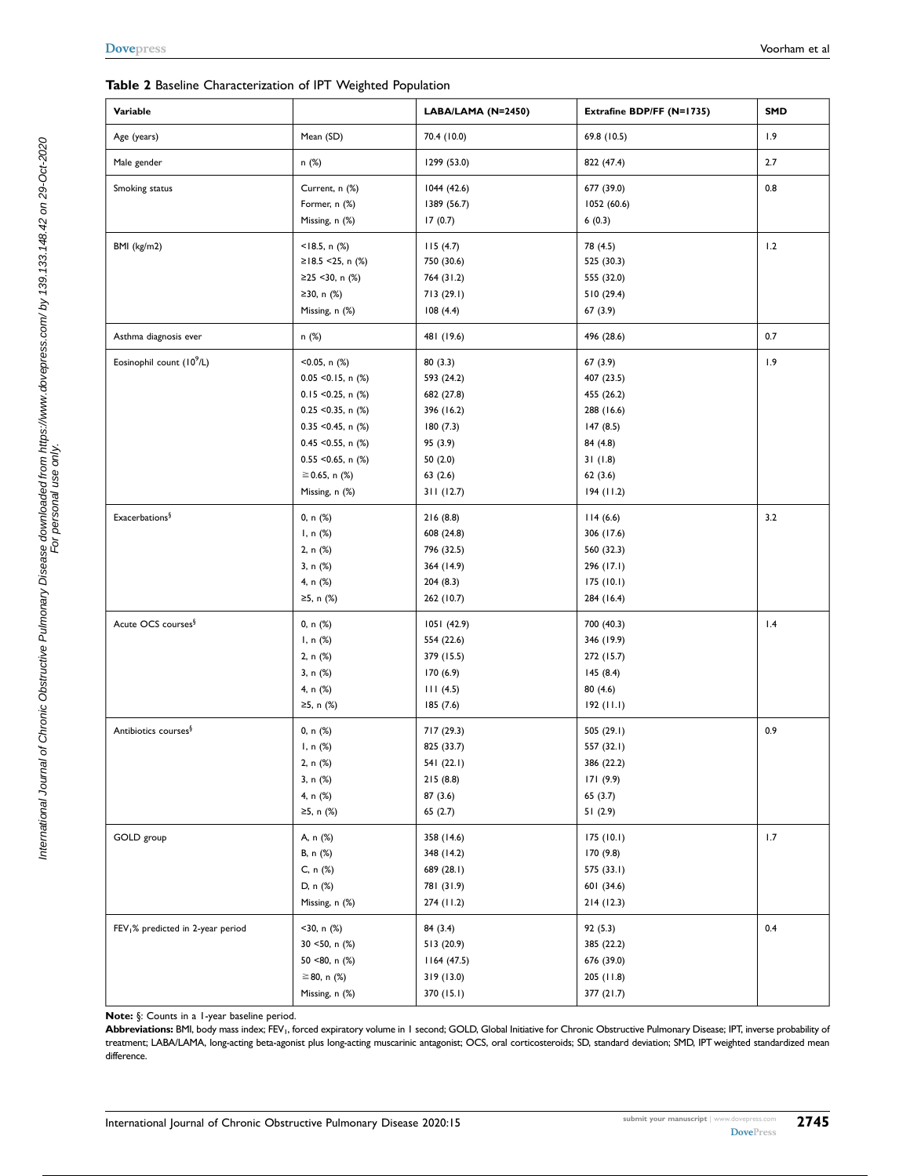### <span id="page-6-0"></span>**Table 2** Baseline Characterization of IPT Weighted Population

| Variable                                      |                                                                                                                                                                                                                                          | LABA/LAMA (N=2450)                                                                                           | Extrafine BDP/FF (N=1735)                                                                                    | <b>SMD</b> |
|-----------------------------------------------|------------------------------------------------------------------------------------------------------------------------------------------------------------------------------------------------------------------------------------------|--------------------------------------------------------------------------------------------------------------|--------------------------------------------------------------------------------------------------------------|------------|
| Age (years)                                   | Mean (SD)                                                                                                                                                                                                                                | 70.4 (10.0)                                                                                                  | 69.8 (10.5)                                                                                                  | 1.9        |
| Male gender                                   | n (%)                                                                                                                                                                                                                                    | 1299 (53.0)                                                                                                  | 822 (47.4)                                                                                                   | 2.7        |
| Smoking status                                | Current, n (%)<br>Former, n (%)<br>Missing, n (%)                                                                                                                                                                                        | 1044(42.6)<br>1389 (56.7)<br>17(0.7)                                                                         | 677 (39.0)<br>1052 (60.6)<br>6(0.3)                                                                          | 0.8        |
| BMI (kg/m2)                                   | $<$ 18.5, n $(\%)$<br>≥18.5 <25, n $(\%)$<br>$≥25$ <30, n (%)<br>≥30, n $(\%)$<br>Missing, n (%)                                                                                                                                         | 115(4.7)<br>750 (30.6)<br>764 (31.2)<br>713 (29.1)<br>108(4.4)                                               | 78 (4.5)<br>525 (30.3)<br>555 (32.0)<br>510 (29.4)<br>67(3.9)                                                | 1.2        |
| Asthma diagnosis ever                         | n (%)                                                                                                                                                                                                                                    | 481 (19.6)                                                                                                   | 496 (28.6)                                                                                                   | 0.7        |
| Eosinophil count (10 <sup>9</sup> /L)         | $<$ 0.05, n $(\%)$<br>$0.05 \le 0.15$ , n $(\%)$<br>$0.15$ < 0.25, n $(\%)$<br>$0.25 \le 0.35$ , n $(\%)$<br>$0.35 \le 0.45$ , n $(\%)$<br>$0.45 \le 0.55$ , n $(\%)$<br>$0.55$ < 0.65, n $(\%)$<br>$\geq$ 0.65, n (%)<br>Missing, n (%) | 80(3.3)<br>593 (24.2)<br>682 (27.8)<br>396 (16.2)<br>180(7.3)<br>95 (3.9)<br>50(2.0)<br>63(2.6)<br>311(12.7) | 67(3.9)<br>407 (23.5)<br>455 (26.2)<br>288 (16.6)<br>147(8.5)<br>84 (4.8)<br>31(1.8)<br>62(3.6)<br>194(11.2) | 1.9        |
| Exacerbations <sup>§</sup>                    | 0, $n$ $(\%)$<br>1, n (%)<br>2, n (%)<br>3, $n$ $(\%)$<br>4, n (%)<br>≥5, n $(% )$                                                                                                                                                       | 216(8.8)<br>608 (24.8)<br>796 (32.5)<br>364 (14.9)<br>204(8.3)<br>262 (10.7)                                 | 114(6.6)<br>306 (17.6)<br>560 (32.3)<br>296 (17.1)<br>175(10.1)<br>284 (16.4)                                | 3.2        |
| Acute OCS courses <sup>§</sup>                | 0, $n$ (%)<br>1, n (%)<br>2, n (%)<br>3, $n$ $(\%)$<br>4, n (%)<br>≥5, n $(% )$                                                                                                                                                          | 1051(42.9)<br>554 (22.6)<br>379 (15.5)<br>170(6.9)<br>111(4.5)<br>185(7.6)                                   | 700 (40.3)<br>346 (19.9)<br>272 (15.7)<br>145(8.4)<br>80(4.6)<br>192 (11.1)                                  | 1.4        |
| Antibiotics courses <sup>§</sup>              | $0, n$ $(\%)$<br>1, n (%)<br>2, n (%)<br>3, n (%)<br>4, n (%)<br>≥5, n $(% )$                                                                                                                                                            | 717 (29.3)<br>825 (33.7)<br>541 (22.1)<br>215(8.8)<br>87(3.6)<br>65(2.7)                                     | 505 (29.1)<br>557 (32.1)<br>386 (22.2)<br>171 (9.9)<br>65(3.7)<br>51(2.9)                                    | 0.9        |
| GOLD group                                    | A, n (%)<br>B, n (%)<br>C, n (%)<br>D, n (%)<br>Missing, n (%)                                                                                                                                                                           | 358 (14.6)<br>348 (14.2)<br>689 (28.1)<br>781 (31.9)<br>274(11.2)                                            | 175(10.1)<br>170 (9.8)<br>575 (33.1)<br>601 (34.6)<br>214(12.3)                                              | 1.7        |
| FEV <sub>1</sub> % predicted in 2-year period | $<$ 30, n $(\%)$<br>$30$ <50, n $(\%)$<br>$50$ <80, n $(\%)$<br>$\geq$ 80, n (%)<br>Missing, n (%)                                                                                                                                       | 84 (3.4)<br>513 (20.9)<br>1164(47.5)<br>319(13.0)<br>370 (15.1)                                              | 92(5.3)<br>385 (22.2)<br>676 (39.0)<br>205 (11.8)<br>377 (21.7)                                              | 0.4        |

**Note:** §: Counts in a 1-year baseline period.

Abbreviations: BMI, body mass index; FEV<sub>1</sub>, forced expiratory volume in 1 second; GOLD, Global Initiative for Chronic Obstructive Pulmonary Disease; IPT, inverse probability of treatment; LABA/LAMA, long-acting beta-agonist plus long-acting muscarinic antagonist; OCS, oral corticosteroids; SD, standard deviation; SMD, IPT weighted standardized mean difference.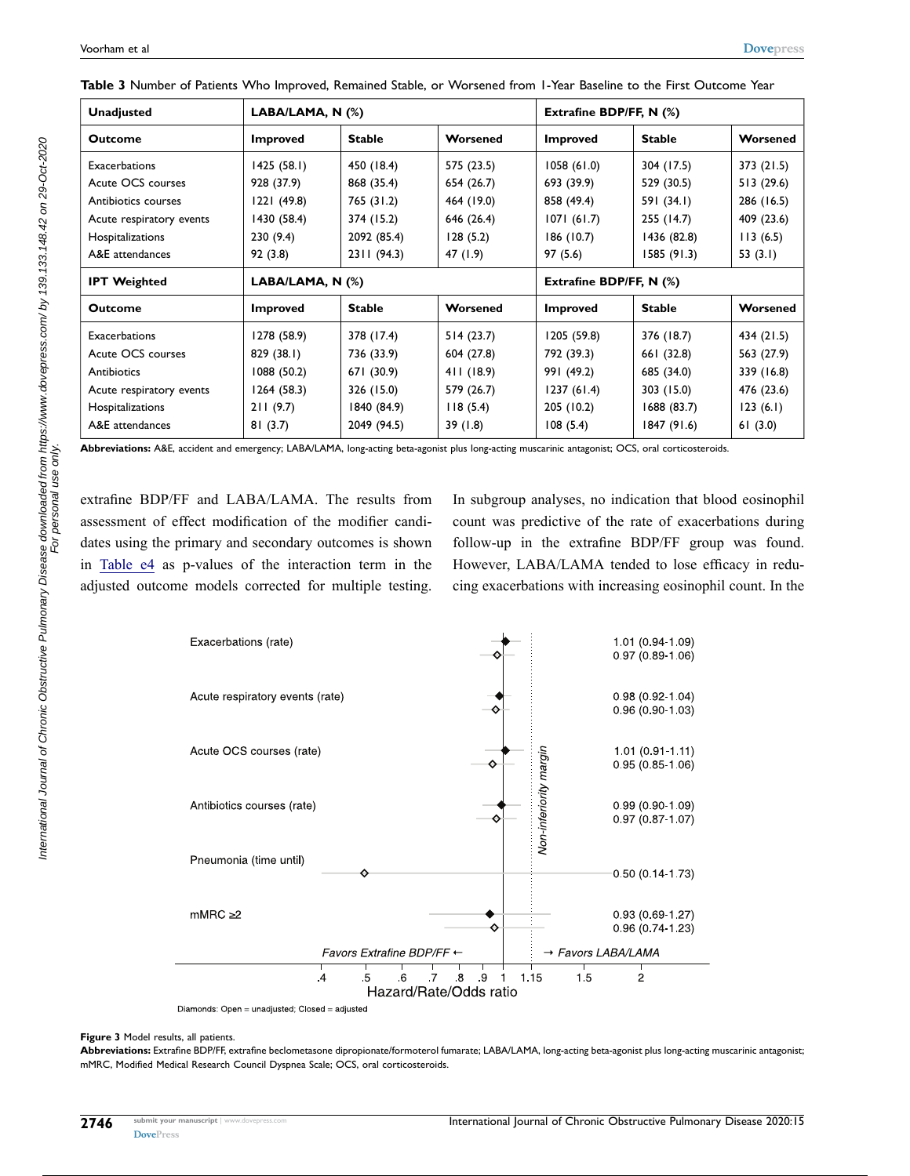| <b>Unadjusted</b>        | LABA/LAMA, N (%) |               |            | Extrafine BDP/FF, N (%) |               |            |  |
|--------------------------|------------------|---------------|------------|-------------------------|---------------|------------|--|
| <b>Outcome</b>           | <b>Improved</b>  | <b>Stable</b> | Worsened   | <b>Improved</b>         | <b>Stable</b> | Worsened   |  |
| <b>Exacerbations</b>     | 1425(58.1)       | 450 (18.4)    | 575 (23.5) | 1058(61.0)              | 304 (17.5)    | 373 (21.5) |  |
| Acute OCS courses        | 928 (37.9)       | 868 (35.4)    | 654 (26.7) | 693 (39.9)              | 529 (30.5)    | 513 (29.6) |  |
| Antibiotics courses      | 1221(49.8)       | 765 (31.2)    | 464 (19.0) | 858 (49.4)              | 591 (34.1)    | 286 (16.5) |  |
| Acute respiratory events | 1430 (58.4)      | 374 (15.2)    | 646 (26.4) | 1071(61.7)              | 255 (14.7)    | 409 (23.6) |  |
| Hospitalizations         | 230(9.4)         | 2092 (85.4)   | 128(5.2)   | 186(10.7)               | 1436 (82.8)   | 113(6.5)   |  |
| A&E attendances          | 92 (3.8)         | 2311(94.3)    | 47 (1.9)   | 97 (5.6)                | 1585 (91.3)   | 53 $(3.1)$ |  |
| <b>IPT Weighted</b>      | LABA/LAMA, N (%) |               |            | Extrafine BDP/FF, N (%) |               |            |  |
|                          |                  |               |            |                         |               |            |  |
| <b>Outcome</b>           | <b>Improved</b>  | <b>Stable</b> | Worsened   | <b>Improved</b>         | <b>Stable</b> | Worsened   |  |
| <b>Exacerbations</b>     | 1278 (58.9)      | 378 (17.4)    | 514(23.7)  | 1205 (59.8)             | 376 (18.7)    | 434 (21.5) |  |
| Acute OCS courses        | 829 (38.1)       | 736 (33.9)    | 604 (27.8) | 792 (39.3)              | 661 (32.8)    | 563 (27.9) |  |
| Antibiotics              | 1088 (50.2)      | 671 (30.9)    | 411(18.9)  | 991 (49.2)              | 685 (34.0)    | 339 (16.8) |  |
| Acute respiratory events | 1264(58.3)       | 326 (15.0)    | 579 (26.7) | 1237(61.4)              | 303 (15.0)    | 476 (23.6) |  |
| Hospitalizations         | 211(9.7)         | 1840 (84.9)   | 118(5.4)   | 205(10.2)               | 1688 (83.7)   | 123(6.1)   |  |

<span id="page-7-0"></span>**Table 3** Number of Patients Who Improved, Remained Stable, or Worsened from 1-Year Baseline to the First Outcome Year

**Abbreviations:** A&E, accident and emergency; LABA/LAMA, long-acting beta-agonist plus long-acting muscarinic antagonist; OCS, oral corticosteroids.

extrafine BDP/FF and LABA/LAMA. The results from assessment of effect modification of the modifier candidates using the primary and secondary outcomes is shown in [Table e4](https://www.dovepress.com/get_supplementary_file.php?f=269287.docx) as p-values of the interaction term in the adjusted outcome models corrected for multiple testing.

In subgroup analyses, no indication that blood eosinophil count was predictive of the rate of exacerbations during follow-up in the extrafine BDP/FF group was found. However, LABA/LAMA tended to lose efficacy in reducing exacerbations with increasing eosinophil count. In the

<span id="page-7-1"></span>

### **Figure 3** Model results, all patients.

**Abbreviations:** Extrafine BDP/FF, extrafine beclometasone dipropionate/formoterol fumarate; LABA/LAMA, long-acting beta-agonist plus long-acting muscarinic antagonist; mMRC, Modified Medical Research Council Dyspnea Scale; OCS, oral corticosteroids.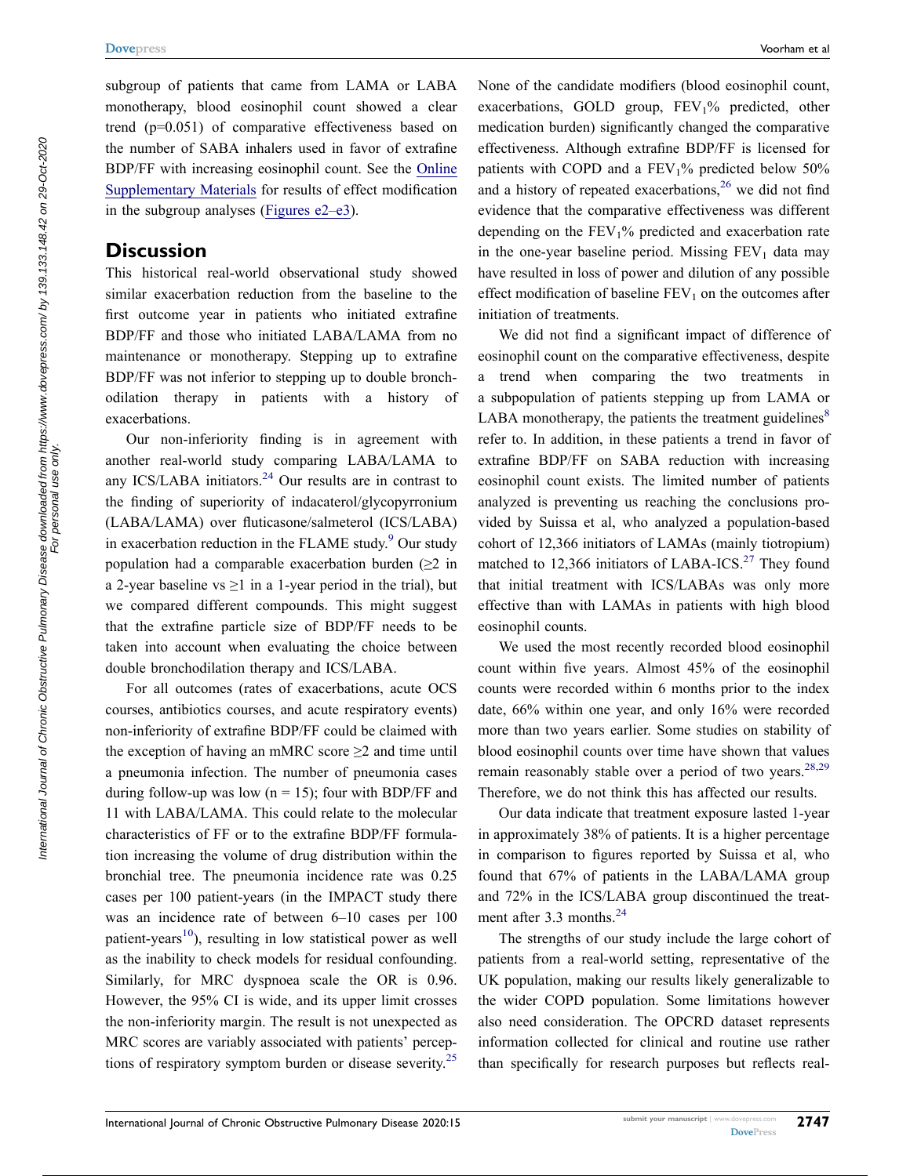subgroup of patients that came from LAMA or LABA monotherapy, blood eosinophil count showed a clear trend (p=0.051) of comparative effectiveness based on the number of SABA inhalers used in favor of extrafine BDP/FF with increasing eosinophil count. See the [Online](https://www.dovepress.com/get_supplementary_file.php?f=269287.docx)  [Supplementary Materials](https://www.dovepress.com/get_supplementary_file.php?f=269287.docx) for results of effect modification in the subgroup analyses ([Figures e2–e3\)](https://www.dovepress.com/get_supplementary_file.php?f=269287.docx).

### **Discussion**

This historical real-world observational study showed similar exacerbation reduction from the baseline to the first outcome year in patients who initiated extrafine BDP/FF and those who initiated LABA/LAMA from no maintenance or monotherapy. Stepping up to extrafine BDP/FF was not inferior to stepping up to double bronchodilation therapy in patients with a history of exacerbations.

Our non-inferiority finding is in agreement with another real-world study comparing LABA/LAMA to any ICS/LABA initiators. $24$  Our results are in contrast to the finding of superiority of indacaterol/glycopyrronium (LABA/LAMA) over fluticasone/salmeterol (ICS/LABA) in exacerbation reduction in the FLAME study.<sup>[9](#page-10-5)</sup> Our study population had a comparable exacerbation burden  $(\geq 2$  in a 2-year baseline vs  $\geq 1$  in a 1-year period in the trial), but we compared different compounds. This might suggest that the extrafine particle size of BDP/FF needs to be taken into account when evaluating the choice between double bronchodilation therapy and ICS/LABA.

<span id="page-8-1"></span>For all outcomes (rates of exacerbations, acute OCS courses, antibiotics courses, and acute respiratory events) non-inferiority of extrafine BDP/FF could be claimed with the exception of having an mMRC score  $\geq 2$  and time until a pneumonia infection. The number of pneumonia cases during follow-up was low ( $n = 15$ ); four with BDP/FF and 11 with LABA/LAMA. This could relate to the molecular characteristics of FF or to the extrafine BDP/FF formulation increasing the volume of drug distribution within the bronchial tree. The pneumonia incidence rate was 0.25 cases per 100 patient-years (in the IMPACT study there was an incidence rate of between 6–10 cases per 100 patient-years<sup>[10](#page-10-6)</sup>), resulting in low statistical power as well as the inability to check models for residual confounding. Similarly, for MRC dyspnoea scale the OR is 0.96. However, the 95% CI is wide, and its upper limit crosses the non-inferiority margin. The result is not unexpected as MRC scores are variably associated with patients' perceptions of respiratory symptom burden or disease severity. [25](#page-11-10)  <span id="page-8-2"></span>None of the candidate modifiers (blood eosinophil count, exacerbations, GOLD group,  $FEV<sub>1</sub>%$  predicted, other medication burden) significantly changed the comparative effectiveness. Although extrafine BDP/FF is licensed for patients with COPD and a  $FEV<sub>1</sub>$ % predicted below 50% and a history of repeated exacerbations,  $2<sup>6</sup>$  we did not find evidence that the comparative effectiveness was different depending on the FEV1% predicted and exacerbation rate in the one-year baseline period. Missing  $FEV<sub>1</sub>$  data may have resulted in loss of power and dilution of any possible effect modification of baseline  $FEV<sub>1</sub>$  on the outcomes after initiation of treatments.

We did not find a significant impact of difference of eosinophil count on the comparative effectiveness, despite a trend when comparing the two treatments in a subpopulation of patients stepping up from LAMA or LABA monotherapy, the patients the treatment guidelines $8$ refer to. In addition, in these patients a trend in favor of extrafine BDP/FF on SABA reduction with increasing eosinophil count exists. The limited number of patients analyzed is preventing us reaching the conclusions provided by Suissa et al, who analyzed a population-based cohort of 12,366 initiators of LAMAs (mainly tiotropium) matched to 12,366 initiators of LABA-ICS.<sup>27</sup> They found that initial treatment with ICS/LABAs was only more effective than with LAMAs in patients with high blood eosinophil counts.

<span id="page-8-3"></span>We used the most recently recorded blood eosinophil count within five years. Almost 45% of the eosinophil counts were recorded within 6 months prior to the index date, 66% within one year, and only 16% were recorded more than two years earlier. Some studies on stability of blood eosinophil counts over time have shown that values remain reasonably stable over a period of two years.<sup>[28](#page-11-13),[29](#page-11-14)</sup> Therefore, we do not think this has affected our results.

<span id="page-8-4"></span>Our data indicate that treatment exposure lasted 1-year in approximately 38% of patients. It is a higher percentage in comparison to figures reported by Suissa et al, who found that 67% of patients in the LABA/LAMA group and 72% in the ICS/LABA group discontinued the treatment after  $3.3$  months.<sup>[24](#page-11-9)</sup>

<span id="page-8-0"></span>The strengths of our study include the large cohort of patients from a real-world setting, representative of the UK population, making our results likely generalizable to the wider COPD population. Some limitations however also need consideration. The OPCRD dataset represents information collected for clinical and routine use rather than specifically for research purposes but reflects real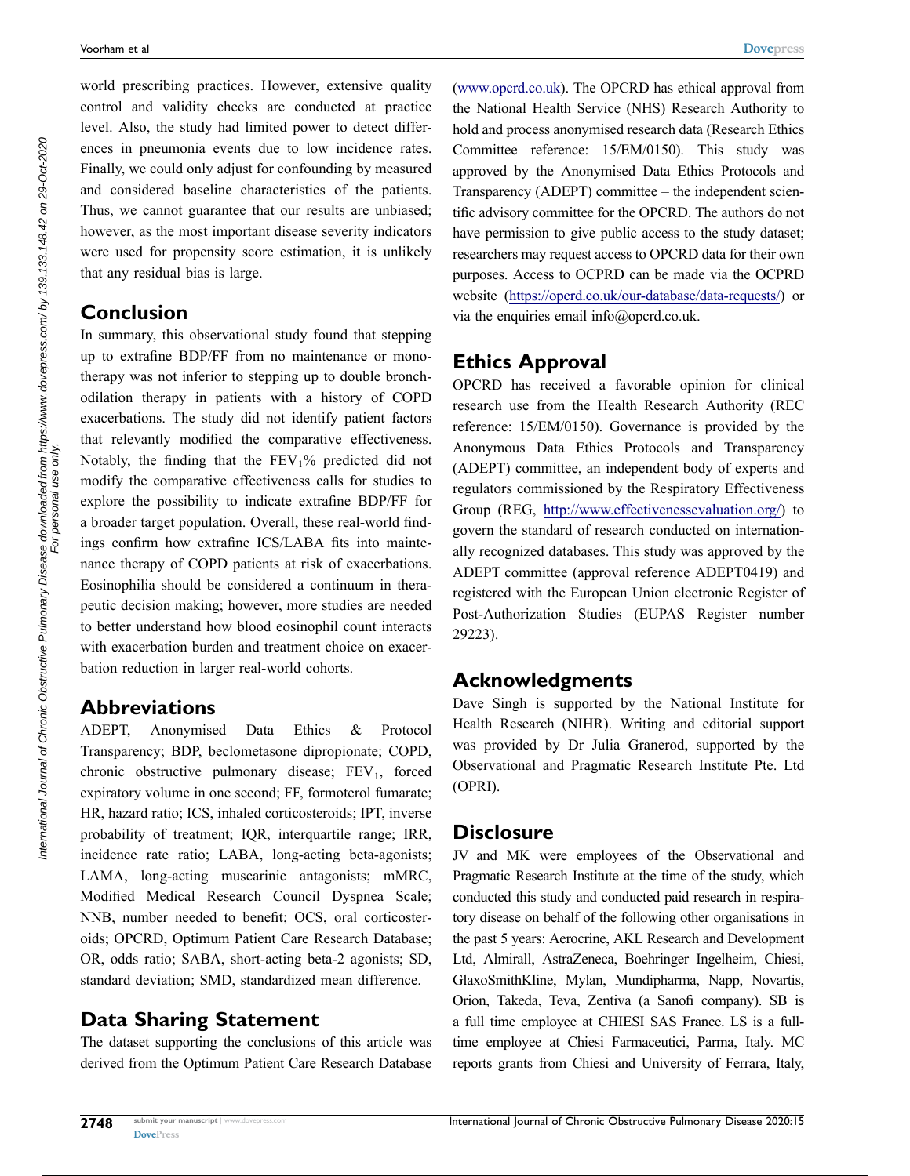world prescribing practices. However, extensive quality control and validity checks are conducted at practice level. Also, the study had limited power to detect differences in pneumonia events due to low incidence rates. Finally, we could only adjust for confounding by measured and considered baseline characteristics of the patients. Thus, we cannot guarantee that our results are unbiased; however, as the most important disease severity indicators were used for propensity score estimation, it is unlikely that any residual bias is large.

### **Conclusion**

In summary, this observational study found that stepping up to extrafine BDP/FF from no maintenance or monotherapy was not inferior to stepping up to double bronchodilation therapy in patients with a history of COPD exacerbations. The study did not identify patient factors that relevantly modified the comparative effectiveness. Notably, the finding that the  $FEV<sub>1</sub>%$  predicted did not modify the comparative effectiveness calls for studies to explore the possibility to indicate extrafine BDP/FF for a broader target population. Overall, these real-world findings confirm how extrafine ICS/LABA fits into maintenance therapy of COPD patients at risk of exacerbations. Eosinophilia should be considered a continuum in therapeutic decision making; however, more studies are needed to better understand how blood eosinophil count interacts with exacerbation burden and treatment choice on exacerbation reduction in larger real-world cohorts.

### **Abbreviations**

ADEPT, Anonymised Data Ethics & Protocol Transparency; BDP, beclometasone dipropionate; COPD, chronic obstructive pulmonary disease;  $FEV<sub>1</sub>$ , forced expiratory volume in one second; FF, formoterol fumarate; HR, hazard ratio; ICS, inhaled corticosteroids; IPT, inverse probability of treatment; IQR, interquartile range; IRR, incidence rate ratio; LABA, long-acting beta-agonists; LAMA, long-acting muscarinic antagonists; mMRC, Modified Medical Research Council Dyspnea Scale; NNB, number needed to benefit; OCS, oral corticosteroids; OPCRD, Optimum Patient Care Research Database; OR, odds ratio; SABA, short-acting beta-2 agonists; SD, standard deviation; SMD, standardized mean difference.

# **Data Sharing Statement**

The dataset supporting the conclusions of this article was derived from the Optimum Patient Care Research Database [\(www.opcrd.co.uk](http://www.opcrd.co.uk)). The OPCRD has ethical approval from the National Health Service (NHS) Research Authority to hold and process anonymised research data (Research Ethics Committee reference: 15/EM/0150). This study was approved by the Anonymised Data Ethics Protocols and Transparency (ADEPT) committee – the independent scientific advisory committee for the OPCRD. The authors do not have permission to give public access to the study dataset; researchers may request access to OPCRD data for their own purposes. Access to OCPRD can be made via the OCPRD website (<https://opcrd.co.uk/our-database/data-requests/>) or via the enquiries email info@opcrd.co.uk.

### **Ethics Approval**

OPCRD has received a favorable opinion for clinical research use from the Health Research Authority (REC reference: 15/EM/0150). Governance is provided by the Anonymous Data Ethics Protocols and Transparency (ADEPT) committee, an independent body of experts and regulators commissioned by the Respiratory Effectiveness Group (REG, <http://www.effectivenessevaluation.org/>) to govern the standard of research conducted on internationally recognized databases. This study was approved by the ADEPT committee (approval reference ADEPT0419) and registered with the European Union electronic Register of Post-Authorization Studies (EUPAS Register number 29223).

### **Acknowledgments**

Dave Singh is supported by the National Institute for Health Research (NIHR). Writing and editorial support was provided by Dr Julia Granerod, supported by the Observational and Pragmatic Research Institute Pte. Ltd (OPRI).

### **Disclosure**

JV and MK were employees of the Observational and Pragmatic Research Institute at the time of the study, which conducted this study and conducted paid research in respiratory disease on behalf of the following other organisations in the past 5 years: Aerocrine, AKL Research and Development Ltd, Almirall, AstraZeneca, Boehringer Ingelheim, Chiesi, GlaxoSmithKline, Mylan, Mundipharma, Napp, Novartis, Orion, Takeda, Teva, Zentiva (a Sanofi company). SB is a full time employee at CHIESI SAS France. LS is a fulltime employee at Chiesi Farmaceutici, Parma, Italy. MC reports grants from Chiesi and University of Ferrara, Italy,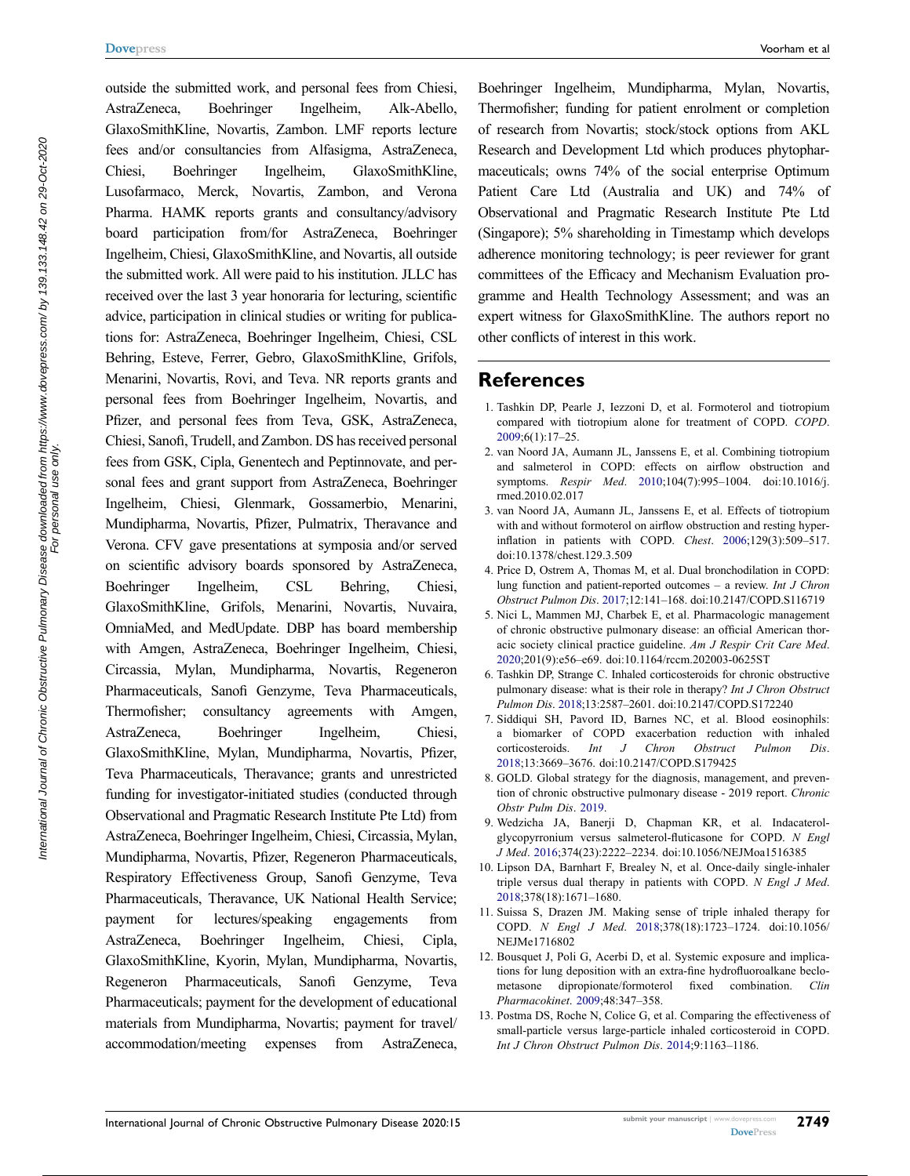outside the submitted work, and personal fees from Chiesi, AstraZeneca, Boehringer Ingelheim, Alk-Abello, GlaxoSmithKline, Novartis, Zambon. LMF reports lecture fees and/or consultancies from Alfasigma, AstraZeneca, Chiesi, Boehringer Ingelheim, GlaxoSmithKline, Lusofarmaco, Merck, Novartis, Zambon, and Verona Pharma. HAMK reports grants and consultancy/advisory board participation from/for AstraZeneca, Boehringer Ingelheim, Chiesi, GlaxoSmithKline, and Novartis, all outside the submitted work. All were paid to his institution. JLLC has received over the last 3 year honoraria for lecturing, scientific advice, participation in clinical studies or writing for publications for: AstraZeneca, Boehringer Ingelheim, Chiesi, CSL Behring, Esteve, Ferrer, Gebro, GlaxoSmithKline, Grifols, Menarini, Novartis, Rovi, and Teva. NR reports grants and personal fees from Boehringer Ingelheim, Novartis, and Pfizer, and personal fees from Teva, GSK, AstraZeneca, Chiesi, Sanofi, Trudell, and Zambon. DS has received personal fees from GSK, Cipla, Genentech and Peptinnovate, and personal fees and grant support from AstraZeneca, Boehringer Ingelheim, Chiesi, Glenmark, Gossamerbio, Menarini, Mundipharma, Novartis, Pfizer, Pulmatrix, Theravance and Verona. CFV gave presentations at symposia and/or served on scientific advisory boards sponsored by AstraZeneca, Boehringer Ingelheim, CSL Behring, Chiesi, GlaxoSmithKline, Grifols, Menarini, Novartis, Nuvaira, OmniaMed, and MedUpdate. DBP has board membership with Amgen, AstraZeneca, Boehringer Ingelheim, Chiesi, Circassia, Mylan, Mundipharma, Novartis, Regeneron Pharmaceuticals, Sanofi Genzyme, Teva Pharmaceuticals, Thermofisher; consultancy agreements with Amgen, AstraZeneca, Boehringer Ingelheim, Chiesi, GlaxoSmithKline, Mylan, Mundipharma, Novartis, Pfizer, Teva Pharmaceuticals, Theravance; grants and unrestricted funding for investigator-initiated studies (conducted through Observational and Pragmatic Research Institute Pte Ltd) from AstraZeneca, Boehringer Ingelheim, Chiesi, Circassia, Mylan, Mundipharma, Novartis, Pfizer, Regeneron Pharmaceuticals, Respiratory Effectiveness Group, Sanofi Genzyme, Teva Pharmaceuticals, Theravance, UK National Health Service; payment for lectures/speaking engagements from AstraZeneca, Boehringer Ingelheim, Chiesi, Cipla, GlaxoSmithKline, Kyorin, Mylan, Mundipharma, Novartis, Regeneron Pharmaceuticals, Sanofi Genzyme, Teva Pharmaceuticals; payment for the development of educational materials from Mundipharma, Novartis; payment for travel/ accommodation/meeting expenses from AstraZeneca,

Boehringer Ingelheim, Mundipharma, Mylan, Novartis, Thermofisher; funding for patient enrolment or completion of research from Novartis; stock/stock options from AKL Research and Development Ltd which produces phytopharmaceuticals; owns 74% of the social enterprise Optimum Patient Care Ltd (Australia and UK) and 74% of Observational and Pragmatic Research Institute Pte Ltd (Singapore); 5% shareholding in Timestamp which develops adherence monitoring technology; is peer reviewer for grant committees of the Efficacy and Mechanism Evaluation programme and Health Technology Assessment; and was an expert witness for GlaxoSmithKline. The authors report no other conflicts of interest in this work.

### **References**

- <span id="page-10-0"></span>1. Tashkin DP, Pearle J, Iezzoni D, et al. Formoterol and tiotropium compared with tiotropium alone for treatment of COPD. *COPD*. [2009](#page-1-0);6(1):17–25.
- 2. van Noord JA, Aumann JL, Janssens E, et al. Combining tiotropium and salmeterol in COPD: effects on airflow obstruction and symptoms. *Respir Med*. 2010;104(7):995–1004. doi:[10.1016/j.](https://doi.org/10.1016/j.rmed.2010.02.017) [rmed.2010.02.017](https://doi.org/10.1016/j.rmed.2010.02.017)
- 3. van Noord JA, Aumann JL, Janssens E, et al. Effects of tiotropium with and without formoterol on airflow obstruction and resting hyperinflation in patients with COPD. *Chest*. 2006;129(3):509–517. doi:[10.1378/chest.129.3.509](https://doi.org/10.1378/chest.129.3.509)
- 4. Price D, Ostrem A, Thomas M, et al. Dual bronchodilation in COPD: lung function and patient-reported outcomes – a review. *Int J Chron Obstruct Pulmon Dis*. 2017;12:141–168. doi:[10.2147/COPD.S116719](https://doi.org/10.2147/COPD.S116719)
- <span id="page-10-1"></span>5. Nici L, Mammen MJ, Charbek E, et al. Pharmacologic management of chronic obstructive pulmonary disease: an official American thoracic society clinical practice guideline. *Am J Respir Crit Care Med*. [2020](#page-1-0);201(9):e56–e69. doi:[10.1164/rccm.202003-0625ST](https://doi.org/10.1164/rccm.202003-0625ST)
- <span id="page-10-2"></span>6. Tashkin DP, Strange C. Inhaled corticosteroids for chronic obstructive pulmonary disease: what is their role in therapy? *Int J Chron Obstruct Pulmon Dis*. [2018;](#page-1-1)13:2587–2601. doi:[10.2147/COPD.S172240](https://doi.org/10.2147/COPD.S172240)
- <span id="page-10-3"></span>7. Siddiqui SH, Pavord ID, Barnes NC, et al. Blood eosinophils: a biomarker of COPD exacerbation reduction with inhaled corticosteroids. *Int J Chron Obstruct Pulmon Dis*. [2018](#page-1-2);13:3669–3676. doi:[10.2147/COPD.S179425](https://doi.org/10.2147/COPD.S179425)
- <span id="page-10-4"></span>8. GOLD. Global strategy for the diagnosis, management, and prevention of chronic obstructive pulmonary disease - 2019 report. *Chronic Obstr Pulm Dis*. [2019.](#page-1-3)
- <span id="page-10-5"></span>9. Wedzicha JA, Banerji D, Chapman KR, et al. Indacaterolglycopyrronium versus salmeterol-fluticasone for COPD. *N Engl J Med*. [2016](#page-1-4);374(23):2222–2234. doi:[10.1056/NEJMoa1516385](https://doi.org/10.1056/NEJMoa1516385)
- <span id="page-10-6"></span>10. Lipson DA, Barnhart F, Brealey N, et al. Once-daily single-inhaler triple versus dual therapy in patients with COPD. *N Engl J Med*. [2018](#page-1-5);378(18):1671–1680.
- <span id="page-10-7"></span>11. Suissa S, Drazen JM. Making sense of triple inhaled therapy for COPD. *N Engl J Med*. [2018;](#page-1-6)378(18):1723–1724. doi:[10.1056/](https://doi.org/10.1056/NEJMe1716802) [NEJMe1716802](https://doi.org/10.1056/NEJMe1716802)
- <span id="page-10-8"></span>12. Bousquet J, Poli G, Acerbi D, et al. Systemic exposure and implications for lung deposition with an extra-fine hydrofluoroalkane beclometasone dipropionate/formoterol fixed combination. *Clin Pharmacokinet*. [2009;](#page-1-7)48:347–358.
- <span id="page-10-9"></span>13. Postma DS, Roche N, Colice G, et al. Comparing the effectiveness of small-particle versus large-particle inhaled corticosteroid in COPD. *Int J Chron Obstruct Pulmon Dis*. [2014;](#page-1-8)9:1163–1186.